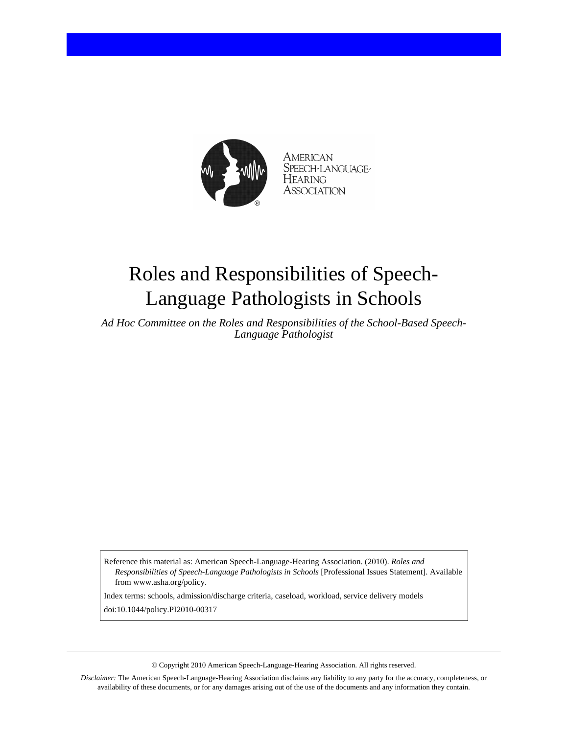

American SPEECH-LANGUAGE-Hearing Association

# Roles and Responsibilities of Speech-Language Pathologists in Schools

*Ad Hoc Committee on the Roles and Responsibilities of the School-Based Speech-Language Pathologist*

Reference this material as: American Speech-Language-Hearing Association. (2010). *Roles and Responsibilities of Speech-Language Pathologists in Schools* [Professional Issues Statement]. Available from www.asha.org/policy.

Index terms: schools, admission/discharge criteria, caseload, workload, service delivery models doi:10.1044/policy.PI2010-00317

© Copyright 2010 American Speech-Language-Hearing Association. All rights reserved.

*Disclaimer:* The American Speech-Language-Hearing Association disclaims any liability to any party for the accuracy, completeness, or availability of these documents, or for any damages arising out of the use of the documents and any information they contain.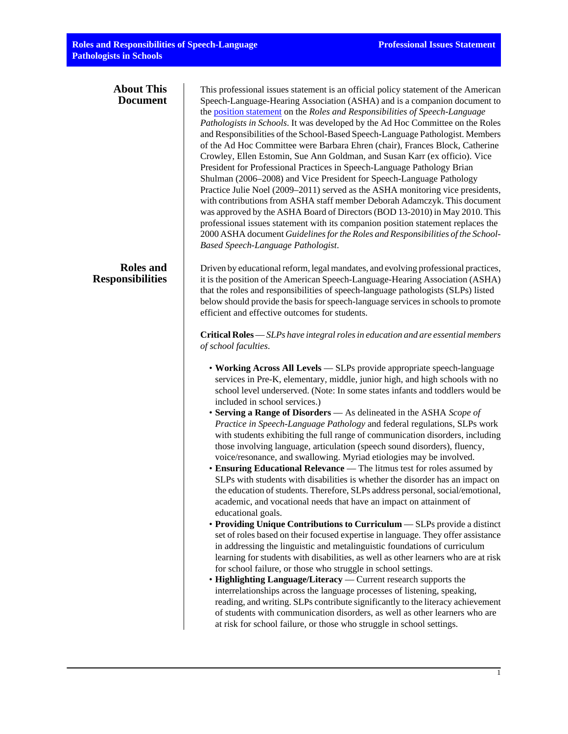| <b>About This</b><br><b>Document</b>        | This professional issues statement is an official policy statement of the American<br>Speech-Language-Hearing Association (ASHA) and is a companion document to<br>the position statement on the Roles and Responsibilities of Speech-Language<br>Pathologists in Schools. It was developed by the Ad Hoc Committee on the Roles<br>and Responsibilities of the School-Based Speech-Language Pathologist. Members<br>of the Ad Hoc Committee were Barbara Ehren (chair), Frances Block, Catherine<br>Crowley, Ellen Estomin, Sue Ann Goldman, and Susan Karr (ex officio). Vice<br>President for Professional Practices in Speech-Language Pathology Brian<br>Shulman (2006–2008) and Vice President for Speech-Language Pathology<br>Practice Julie Noel (2009–2011) served as the ASHA monitoring vice presidents,<br>with contributions from ASHA staff member Deborah Adamczyk. This document<br>was approved by the ASHA Board of Directors (BOD 13-2010) in May 2010. This<br>professional issues statement with its companion position statement replaces the<br>2000 ASHA document Guidelines for the Roles and Responsibilities of the School-<br>Based Speech-Language Pathologist.                                                                                                                                                                                                                                                                                                                                                                                                                                                                                                                                                                                                                                                                                                                                                                                                                                                                                                                                                                                                                                                                                                                             |
|---------------------------------------------|---------------------------------------------------------------------------------------------------------------------------------------------------------------------------------------------------------------------------------------------------------------------------------------------------------------------------------------------------------------------------------------------------------------------------------------------------------------------------------------------------------------------------------------------------------------------------------------------------------------------------------------------------------------------------------------------------------------------------------------------------------------------------------------------------------------------------------------------------------------------------------------------------------------------------------------------------------------------------------------------------------------------------------------------------------------------------------------------------------------------------------------------------------------------------------------------------------------------------------------------------------------------------------------------------------------------------------------------------------------------------------------------------------------------------------------------------------------------------------------------------------------------------------------------------------------------------------------------------------------------------------------------------------------------------------------------------------------------------------------------------------------------------------------------------------------------------------------------------------------------------------------------------------------------------------------------------------------------------------------------------------------------------------------------------------------------------------------------------------------------------------------------------------------------------------------------------------------------------------------------------------------------------------------------------------------------------|
| <b>Roles</b> and<br><b>Responsibilities</b> | Driven by educational reform, legal mandates, and evolving professional practices,<br>it is the position of the American Speech-Language-Hearing Association (ASHA)<br>that the roles and responsibilities of speech-language pathologists (SLPs) listed<br>below should provide the basis for speech-language services in schools to promote<br>efficient and effective outcomes for students.<br>Critical Roles - SLPs have integral roles in education and are essential members<br>of school faculties.<br>• Working Across All Levels — SLPs provide appropriate speech-language<br>services in Pre-K, elementary, middle, junior high, and high schools with no<br>school level underserved. (Note: In some states infants and toddlers would be<br>included in school services.)<br>• Serving a Range of Disorders - As delineated in the ASHA Scope of<br>Practice in Speech-Language Pathology and federal regulations, SLPs work<br>with students exhibiting the full range of communication disorders, including<br>those involving language, articulation (speech sound disorders), fluency,<br>voice/resonance, and swallowing. Myriad etiologies may be involved.<br>• Ensuring Educational Relevance - The litmus test for roles assumed by<br>SLPs with students with disabilities is whether the disorder has an impact on<br>the education of students. Therefore, SLPs address personal, social/emotional,<br>academic, and vocational needs that have an impact on attainment of<br>educational goals.<br>• Providing Unique Contributions to Curriculum — SLPs provide a distinct<br>set of roles based on their focused expertise in language. They offer assistance<br>in addressing the linguistic and metalinguistic foundations of curriculum<br>learning for students with disabilities, as well as other learners who are at risk<br>for school failure, or those who struggle in school settings.<br>• Highlighting Language/Literacy — Current research supports the<br>interrelationships across the language processes of listening, speaking,<br>reading, and writing. SLPs contribute significantly to the literacy achievement<br>of students with communication disorders, as well as other learners who are<br>at risk for school failure, or those who struggle in school settings. |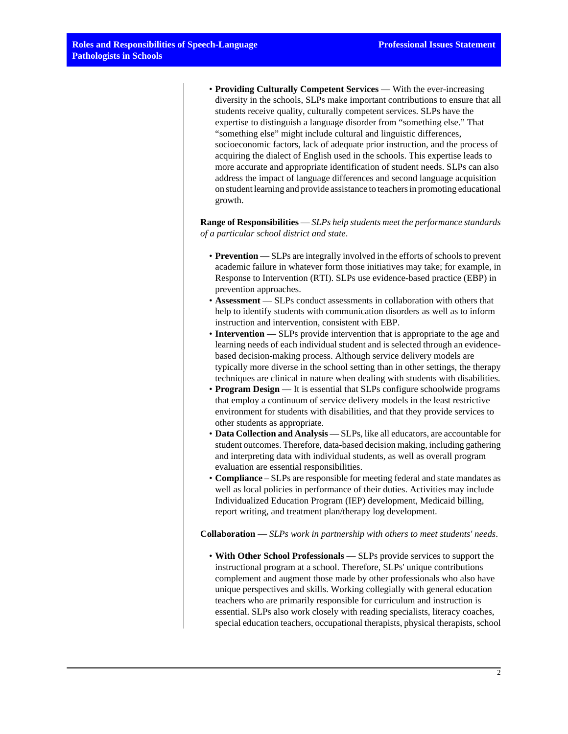• **Providing Culturally Competent Services** — With the ever-increasing diversity in the schools, SLPs make important contributions to ensure that all students receive quality, culturally competent services. SLPs have the expertise to distinguish a language disorder from "something else." That "something else" might include cultural and linguistic differences, socioeconomic factors, lack of adequate prior instruction, and the process of acquiring the dialect of English used in the schools. This expertise leads to more accurate and appropriate identification of student needs. SLPs can also address the impact of language differences and second language acquisition on student learning and provide assistance to teachers in promoting educational growth.

**Range of Responsibilities** — *SLPs help students meet the performance standards of a particular school district and state*.

- **Prevention** SLPs are integrally involved in the efforts of schools to prevent academic failure in whatever form those initiatives may take; for example, in Response to Intervention (RTI). SLPs use evidence-based practice (EBP) in prevention approaches.
- **Assessment** SLPs conduct assessments in collaboration with others that help to identify students with communication disorders as well as to inform instruction and intervention, consistent with EBP.
- **Intervention** SLPs provide intervention that is appropriate to the age and learning needs of each individual student and is selected through an evidencebased decision-making process. Although service delivery models are typically more diverse in the school setting than in other settings, the therapy techniques are clinical in nature when dealing with students with disabilities.
- **Program Design** It is essential that SLPs configure schoolwide programs that employ a continuum of service delivery models in the least restrictive environment for students with disabilities, and that they provide services to other students as appropriate.
- **Data Collection and Analysis** SLPs, like all educators, are accountable for student outcomes. Therefore, data-based decision making, including gathering and interpreting data with individual students, as well as overall program evaluation are essential responsibilities.
- **Compliance** SLPs are responsible for meeting federal and state mandates as well as local policies in performance of their duties. Activities may include Individualized Education Program (IEP) development, Medicaid billing, report writing, and treatment plan/therapy log development.

**Collaboration** — *SLPs work in partnership with others to meet students' needs*.

• **With Other School Professionals** — SLPs provide services to support the instructional program at a school. Therefore, SLPs' unique contributions complement and augment those made by other professionals who also have unique perspectives and skills. Working collegially with general education teachers who are primarily responsible for curriculum and instruction is essential. SLPs also work closely with reading specialists, literacy coaches, special education teachers, occupational therapists, physical therapists, school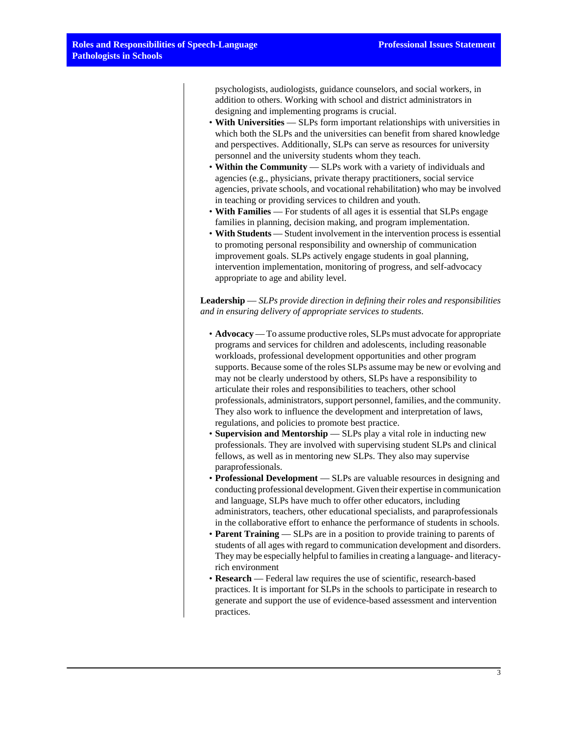psychologists, audiologists, guidance counselors, and social workers, in addition to others. Working with school and district administrators in designing and implementing programs is crucial.

- **With Universities** SLPs form important relationships with universities in which both the SLPs and the universities can benefit from shared knowledge and perspectives. Additionally, SLPs can serve as resources for university personnel and the university students whom they teach.
- **Within the Community** SLPs work with a variety of individuals and agencies (e.g., physicians, private therapy practitioners, social service agencies, private schools, and vocational rehabilitation) who may be involved in teaching or providing services to children and youth.
- **With Families** For students of all ages it is essential that SLPs engage families in planning, decision making, and program implementation.
- **With Students** Student involvement in the intervention process is essential to promoting personal responsibility and ownership of communication improvement goals. SLPs actively engage students in goal planning, intervention implementation, monitoring of progress, and self-advocacy appropriate to age and ability level.

**Leadership** — *SLPs provide direction in defining their roles and responsibilities and in ensuring delivery of appropriate services to students*.

- **Advocacy** To assume productive roles, SLPs must advocate for appropriate programs and services for children and adolescents, including reasonable workloads, professional development opportunities and other program supports. Because some of the roles SLPs assume may be new or evolving and may not be clearly understood by others, SLPs have a responsibility to articulate their roles and responsibilities to teachers, other school professionals, administrators, support personnel, families, and the community. They also work to influence the development and interpretation of laws, regulations, and policies to promote best practice.
- **Supervision and Mentorship** SLPs play a vital role in inducting new professionals. They are involved with supervising student SLPs and clinical fellows, as well as in mentoring new SLPs. They also may supervise paraprofessionals.
- **Professional Development** SLPs are valuable resources in designing and conducting professional development. Given their expertise in communication and language, SLPs have much to offer other educators, including administrators, teachers, other educational specialists, and paraprofessionals in the collaborative effort to enhance the performance of students in schools.
- **Parent Training** SLPs are in a position to provide training to parents of students of all ages with regard to communication development and disorders. They may be especially helpful to families in creating a language- and literacyrich environment
- **Research** Federal law requires the use of scientific, research-based practices. It is important for SLPs in the schools to participate in research to generate and support the use of evidence-based assessment and intervention practices.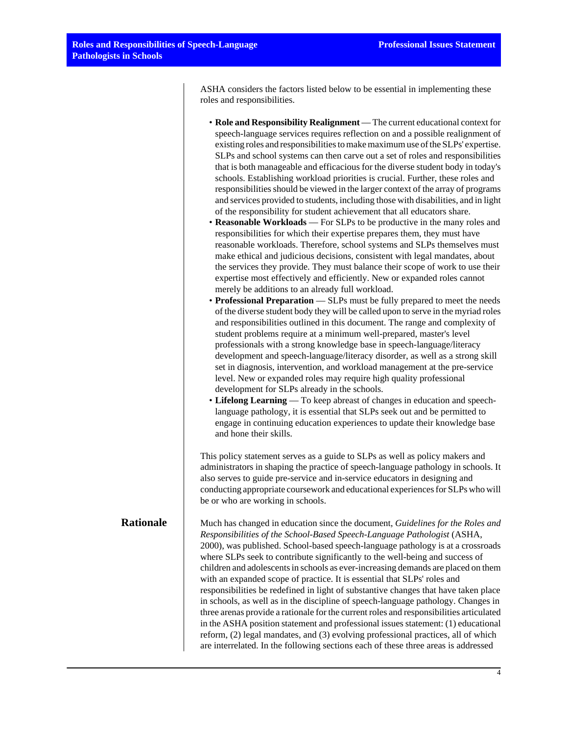ASHA considers the factors listed below to be essential in implementing these roles and responsibilities.

- **Role and Responsibility Realignment** The current educational context for speech-language services requires reflection on and a possible realignment of existing roles and responsibilities to make maximum use of the SLPs' expertise. SLPs and school systems can then carve out a set of roles and responsibilities that is both manageable and efficacious for the diverse student body in today's schools. Establishing workload priorities is crucial. Further, these roles and responsibilities should be viewed in the larger context of the array of programs and services provided to students, including those with disabilities, and in light of the responsibility for student achievement that all educators share. • **Reasonable Workloads** — For SLPs to be productive in the many roles and
	- responsibilities for which their expertise prepares them, they must have reasonable workloads. Therefore, school systems and SLPs themselves must make ethical and judicious decisions, consistent with legal mandates, about the services they provide. They must balance their scope of work to use their expertise most effectively and efficiently. New or expanded roles cannot merely be additions to an already full workload.
	- **Professional Preparation** SLPs must be fully prepared to meet the needs of the diverse student body they will be called upon to serve in the myriad roles and responsibilities outlined in this document. The range and complexity of student problems require at a minimum well-prepared, master's level professionals with a strong knowledge base in speech-language/literacy development and speech-language/literacy disorder, as well as a strong skill set in diagnosis, intervention, and workload management at the pre-service level. New or expanded roles may require high quality professional development for SLPs already in the schools.
	- **Lifelong Learning** To keep abreast of changes in education and speechlanguage pathology, it is essential that SLPs seek out and be permitted to engage in continuing education experiences to update their knowledge base and hone their skills.

This policy statement serves as a guide to SLPs as well as policy makers and administrators in shaping the practice of speech-language pathology in schools. It also serves to guide pre-service and in-service educators in designing and conducting appropriate coursework and educational experiences for SLPs who will be or who are working in schools.

**Rationale** Much has changed in education since the document, *Guidelines for the Roles and Responsibilities of the School-Based Speech-Language Pathologist* (ASHA, 2000), was published. School-based speech-language pathology is at a crossroads where SLPs seek to contribute significantly to the well-being and success of children and adolescents in schools as ever-increasing demands are placed on them with an expanded scope of practice. It is essential that SLPs' roles and responsibilities be redefined in light of substantive changes that have taken place in schools, as well as in the discipline of speech-language pathology. Changes in three arenas provide a rationale for the current roles and responsibilities articulated in the ASHA position statement and professional issues statement: (1) educational reform, (2) legal mandates, and (3) evolving professional practices, all of which are interrelated. In the following sections each of these three areas is addressed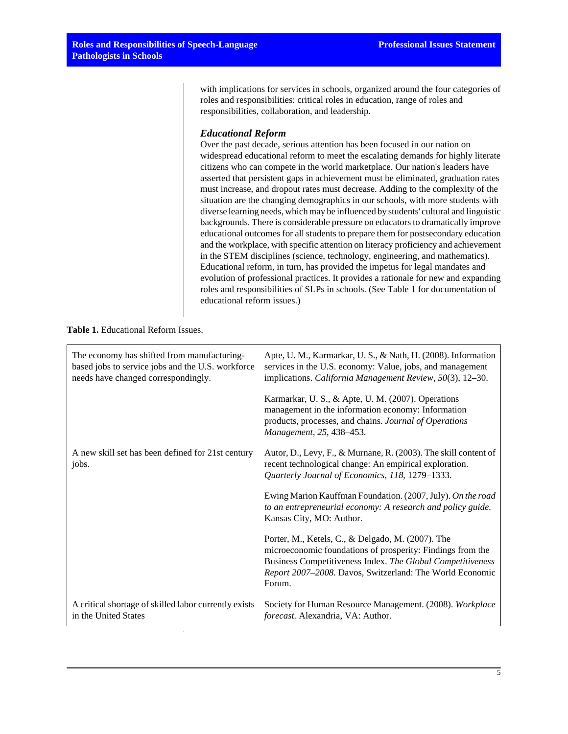with implications for services in schools, organized around the four categories of roles and responsibilities: critical roles in education, range of roles and responsibilities, collaboration, and leadership.

# *Educational Reform*

Over the past decade, serious attention has been focused in our nation on widespread educational reform to meet the escalating demands for highly literate citizens who can compete in the world marketplace. Our nation's leaders have asserted that persistent gaps in achievement must be eliminated, graduation rates must increase, and dropout rates must decrease. Adding to the complexity of the situation are the changing demographics in our schools, with more students with diverse learning needs, which may be influenced by students' cultural and linguistic backgrounds. There is considerable pressure on educators to dramatically improve educational outcomes for all students to prepare them for postsecondary education and the workplace, with specific attention on literacy proficiency and achievement in the STEM disciplines (science, technology, engineering, and mathematics). Educational reform, in turn, has provided the impetus for legal mandates and evolution of professional practices. It provides a rationale for new and expanding roles and responsibilities of SLPs in schools. (See Table 1 for documentation of educational reform issues.)

# **Table 1.** Educational Reform Issues.

| The economy has shifted from manufacturing-<br>based jobs to service jobs and the U.S. workforce<br>needs have changed correspondingly. | Apte, U. M., Karmarkar, U. S., & Nath, H. (2008). Information<br>services in the U.S. economy: Value, jobs, and management<br>implications. California Management Review, 50(3), 12–30.                                                             |
|-----------------------------------------------------------------------------------------------------------------------------------------|-----------------------------------------------------------------------------------------------------------------------------------------------------------------------------------------------------------------------------------------------------|
|                                                                                                                                         | Karmarkar, U. S., & Apte, U. M. (2007). Operations<br>management in the information economy: Information<br>products, processes, and chains. Journal of Operations<br>Management, 25, 438-453.                                                      |
| A new skill set has been defined for 21st century<br>jobs.                                                                              | Autor, D., Levy, F., & Murnane, R. (2003). The skill content of<br>recent technological change: An empirical exploration.<br>Quarterly Journal of Economics, 118, 1279-1333.                                                                        |
|                                                                                                                                         | Ewing Marion Kauffman Foundation. (2007, July). On the road<br>to an entrepreneurial economy: A research and policy guide.<br>Kansas City, MO: Author.                                                                                              |
|                                                                                                                                         | Porter, M., Ketels, C., & Delgado, M. (2007). The<br>microeconomic foundations of prosperity: Findings from the<br>Business Competitiveness Index. The Global Competitiveness<br>Report 2007-2008. Davos, Switzerland: The World Economic<br>Forum. |
| A critical shortage of skilled labor currently exists<br>in the United States                                                           | Society for Human Resource Management. (2008). Workplace<br>forecast. Alexandria, VA: Author.                                                                                                                                                       |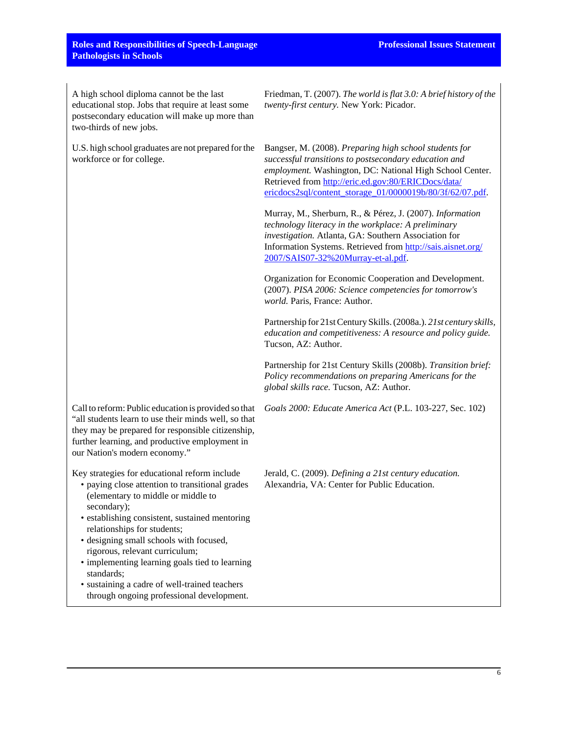# **Roles and Responsibilities of Speech-Language Pathologists in Schools**

A high school diploma cannot be the last educational stop. Jobs that require at least some postsecondary education will make up more than two-thirds of new jobs.

U.S. high school graduates are not prepared for the workforce or for college.

Friedman, T. (2007). *The world is flat 3.0: A brief history of the twenty-first century.* New York: Picador.

Bangser, M. (2008). *Preparing high school students for successful transitions to postsecondary education and employment.* Washington, DC: National High School Center. Retrieved from [http://eric.ed.gov:80/ERICDocs/data/](http://eric.ed.gov:80/ERICDocs/data/ericdocs2sql/content_storage_01/0000019b/80/3f/62/07.pdf) [ericdocs2sql/content\\_storage\\_01/0000019b/80/3f/62/07.pdf](http://eric.ed.gov:80/ERICDocs/data/ericdocs2sql/content_storage_01/0000019b/80/3f/62/07.pdf).

Murray, M., Sherburn, R., & Pérez, J. (2007). *Information technology literacy in the workplace: A preliminary investigation.* Atlanta, GA: Southern Association for Information Systems. Retrieved from [http://sais.aisnet.org/](http://sais.aisnet.org/2007/SAIS07-32%2520Murray-et-al.pdf) [2007/SAIS07-32%20Murray-et-al.pdf](http://sais.aisnet.org/2007/SAIS07-32%2520Murray-et-al.pdf).

Organization for Economic Cooperation and Development. (2007). *PISA 2006: Science competencies for tomorrow's world.* Paris, France: Author.

Partnership for 21st Century Skills. (2008a.). *21st century skills, education and competitiveness: A resource and policy guide.* Tucson, AZ: Author.

Partnership for 21st Century Skills (2008b). *Transition brief: Policy recommendations on preparing Americans for the global skills race.* Tucson, AZ: Author.

*Goals 2000: Educate America Act* (P.L. 103-227, Sec. 102)

Call to reform: Public education is provided so that "all students learn to use their minds well, so that they may be prepared for responsible citizenship, further learning, and productive employment in our Nation's modern economy."

Key strategies for educational reform include

- paying close attention to transitional grades (elementary to middle or middle to secondary);
- establishing consistent, sustained mentoring relationships for students;
- designing small schools with focused, rigorous, relevant curriculum;
- implementing learning goals tied to learning standards;
- sustaining a cadre of well-trained teachers through ongoing professional development.

Jerald, C. (2009). *Defining a 21st century education.* Alexandria, VA: Center for Public Education.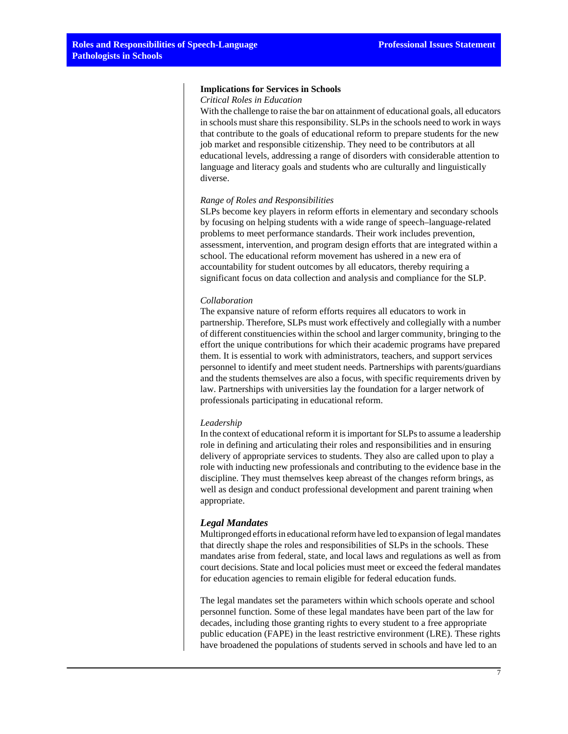#### **Implications for Services in Schools**

#### *Critical Roles in Education*

With the challenge to raise the bar on attainment of educational goals, all educators in schools must share this responsibility. SLPs in the schools need to work in ways that contribute to the goals of educational reform to prepare students for the new job market and responsible citizenship. They need to be contributors at all educational levels, addressing a range of disorders with considerable attention to language and literacy goals and students who are culturally and linguistically diverse.

#### *Range of Roles and Responsibilities*

SLPs become key players in reform efforts in elementary and secondary schools by focusing on helping students with a wide range of speech–language-related problems to meet performance standards. Their work includes prevention, assessment, intervention, and program design efforts that are integrated within a school. The educational reform movement has ushered in a new era of accountability for student outcomes by all educators, thereby requiring a significant focus on data collection and analysis and compliance for the SLP.

#### *Collaboration*

The expansive nature of reform efforts requires all educators to work in partnership. Therefore, SLPs must work effectively and collegially with a number of different constituencies within the school and larger community, bringing to the effort the unique contributions for which their academic programs have prepared them. It is essential to work with administrators, teachers, and support services personnel to identify and meet student needs. Partnerships with parents/guardians and the students themselves are also a focus, with specific requirements driven by law. Partnerships with universities lay the foundation for a larger network of professionals participating in educational reform.

#### *Leadership*

In the context of educational reform it is important for SLPs to assume a leadership role in defining and articulating their roles and responsibilities and in ensuring delivery of appropriate services to students. They also are called upon to play a role with inducting new professionals and contributing to the evidence base in the discipline. They must themselves keep abreast of the changes reform brings, as well as design and conduct professional development and parent training when appropriate.

#### *Legal Mandates*

Multipronged efforts in educational reform have led to expansion of legal mandates that directly shape the roles and responsibilities of SLPs in the schools. These mandates arise from federal, state, and local laws and regulations as well as from court decisions. State and local policies must meet or exceed the federal mandates for education agencies to remain eligible for federal education funds.

The legal mandates set the parameters within which schools operate and school personnel function. Some of these legal mandates have been part of the law for decades, including those granting rights to every student to a free appropriate public education (FAPE) in the least restrictive environment (LRE). These rights have broadened the populations of students served in schools and have led to an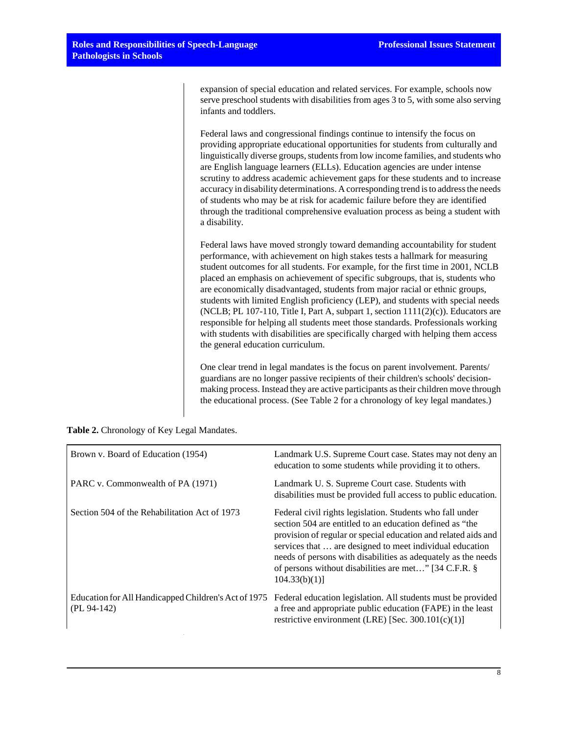expansion of special education and related services. For example, schools now serve preschool students with disabilities from ages 3 to 5, with some also serving infants and toddlers.

Federal laws and congressional findings continue to intensify the focus on providing appropriate educational opportunities for students from culturally and linguistically diverse groups, students from low income families, and students who are English language learners (ELLs). Education agencies are under intense scrutiny to address academic achievement gaps for these students and to increase accuracy in disability determinations. A corresponding trend is to address the needs of students who may be at risk for academic failure before they are identified through the traditional comprehensive evaluation process as being a student with a disability.

Federal laws have moved strongly toward demanding accountability for student performance, with achievement on high stakes tests a hallmark for measuring student outcomes for all students. For example, for the first time in 2001, NCLB placed an emphasis on achievement of specific subgroups, that is, students who are economically disadvantaged, students from major racial or ethnic groups, students with limited English proficiency (LEP), and students with special needs (NCLB; PL 107-110, Title I, Part A, subpart 1, section  $1111(2)(c)$ ). Educators are responsible for helping all students meet those standards. Professionals working with students with disabilities are specifically charged with helping them access the general education curriculum.

One clear trend in legal mandates is the focus on parent involvement. Parents/ guardians are no longer passive recipients of their children's schools' decisionmaking process. Instead they are active participants as their children move through the educational process. (See Table 2 for a chronology of key legal mandates.)

| Table 2. Chronology of Key Legal Mandates. |  |
|--------------------------------------------|--|
|--------------------------------------------|--|

| Brown v. Board of Education (1954)                                    | Landmark U.S. Supreme Court case. States may not deny an<br>education to some students while providing it to others.                                                                                                                                                                                                                                                                          |
|-----------------------------------------------------------------------|-----------------------------------------------------------------------------------------------------------------------------------------------------------------------------------------------------------------------------------------------------------------------------------------------------------------------------------------------------------------------------------------------|
| PARC v. Commonwealth of PA (1971)                                     | Landmark U.S. Supreme Court case. Students with<br>disabilities must be provided full access to public education.                                                                                                                                                                                                                                                                             |
| Section 504 of the Rehabilitation Act of 1973                         | Federal civil rights legislation. Students who fall under<br>section 504 are entitled to an education defined as "the<br>provision of regular or special education and related aids and<br>services that  are designed to meet individual education<br>needs of persons with disabilities as adequately as the needs<br>of persons without disabilities are met" [34 C.F.R. §<br>104.33(b)(1) |
| Education for All Handicapped Children's Act of 1975<br>$(PL 94-142)$ | Federal education legislation. All students must be provided<br>a free and appropriate public education (FAPE) in the least<br>restrictive environment (LRE) [Sec. $300.101(c)(1)$ ]                                                                                                                                                                                                          |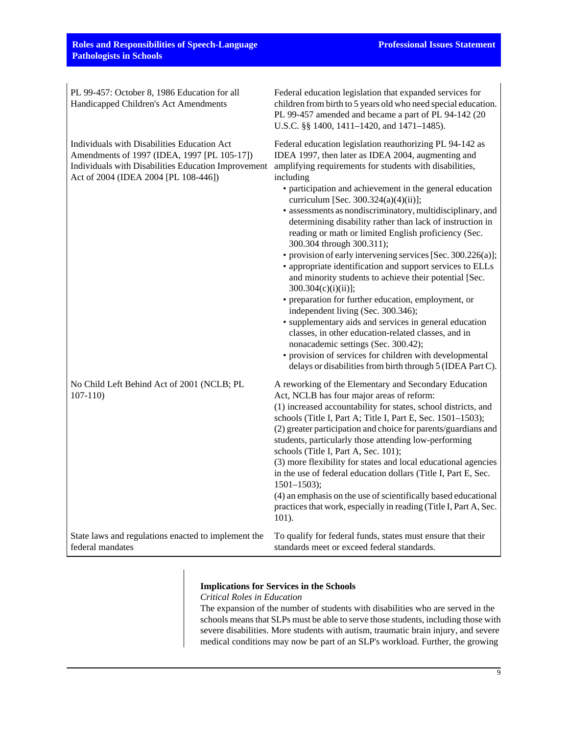| PL 99-457: October 8, 1986 Education for all<br>Handicapped Children's Act Amendments                                                                                                     | Federal education legislation that expanded services for<br>children from birth to 5 years old who need special education.<br>PL 99-457 amended and became a part of PL 94-142 (20<br>U.S.C. §§ 1400, 1411-1420, and 1471-1485).                                                                                                                                                                                                                                                                                                                                                                                                                                                                                                                                                                                                                                                                                                                                                                                                                                                                         |
|-------------------------------------------------------------------------------------------------------------------------------------------------------------------------------------------|----------------------------------------------------------------------------------------------------------------------------------------------------------------------------------------------------------------------------------------------------------------------------------------------------------------------------------------------------------------------------------------------------------------------------------------------------------------------------------------------------------------------------------------------------------------------------------------------------------------------------------------------------------------------------------------------------------------------------------------------------------------------------------------------------------------------------------------------------------------------------------------------------------------------------------------------------------------------------------------------------------------------------------------------------------------------------------------------------------|
| Individuals with Disabilities Education Act<br>Amendments of 1997 (IDEA, 1997 [PL 105-17])<br>Individuals with Disabilities Education Improvement<br>Act of 2004 (IDEA 2004 [PL 108-446]) | Federal education legislation reauthorizing PL 94-142 as<br>IDEA 1997, then later as IDEA 2004, augmenting and<br>amplifying requirements for students with disabilities,<br>including<br>• participation and achievement in the general education<br>curriculum [Sec. 300.324(a)(4)(ii)];<br>• assessments as nondiscriminatory, multidisciplinary, and<br>determining disability rather than lack of instruction in<br>reading or math or limited English proficiency (Sec.<br>300.304 through 300.311);<br>• provision of early intervening services [Sec. 300.226(a)];<br>• appropriate identification and support services to ELLs<br>and minority students to achieve their potential [Sec.<br>$300.304(c)(i)(ii)$ ;<br>• preparation for further education, employment, or<br>independent living (Sec. 300.346);<br>• supplementary aids and services in general education<br>classes, in other education-related classes, and in<br>nonacademic settings (Sec. 300.42);<br>• provision of services for children with developmental<br>delays or disabilities from birth through 5 (IDEA Part C). |
| No Child Left Behind Act of 2001 (NCLB; PL<br>$107 - 110$                                                                                                                                 | A reworking of the Elementary and Secondary Education<br>Act, NCLB has four major areas of reform:<br>(1) increased accountability for states, school districts, and<br>schools (Title I, Part A; Title I, Part E, Sec. 1501-1503);<br>(2) greater participation and choice for parents/guardians and<br>students, particularly those attending low-performing<br>schools (Title I, Part A, Sec. 101);<br>(3) more flexibility for states and local educational agencies<br>in the use of federal education dollars (Title I, Part E, Sec.<br>$1501 - 1503$ ;<br>(4) an emphasis on the use of scientifically based educational<br>practices that work, especially in reading (Title I, Part A, Sec.<br>101).                                                                                                                                                                                                                                                                                                                                                                                            |
| State laws and regulations enacted to implement the<br>federal mandates                                                                                                                   | To qualify for federal funds, states must ensure that their<br>standards meet or exceed federal standards.                                                                                                                                                                                                                                                                                                                                                                                                                                                                                                                                                                                                                                                                                                                                                                                                                                                                                                                                                                                               |

# **Implications for Services in the Schools**

*Critical Roles in Education*

The expansion of the number of students with disabilities who are served in the schools means that SLPs must be able to serve those students, including those with severe disabilities. More students with autism, traumatic brain injury, and severe medical conditions may now be part of an SLP's workload. Further, the growing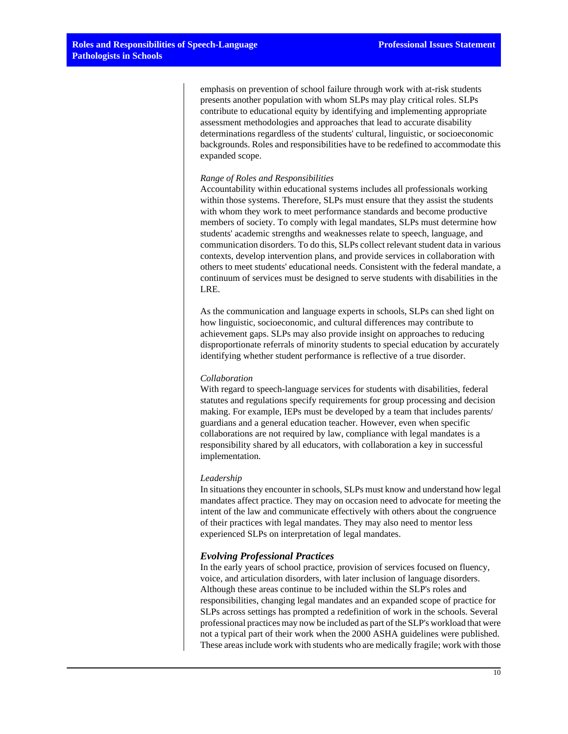emphasis on prevention of school failure through work with at-risk students presents another population with whom SLPs may play critical roles. SLPs contribute to educational equity by identifying and implementing appropriate assessment methodologies and approaches that lead to accurate disability determinations regardless of the students' cultural, linguistic, or socioeconomic backgrounds. Roles and responsibilities have to be redefined to accommodate this expanded scope.

#### *Range of Roles and Responsibilities*

Accountability within educational systems includes all professionals working within those systems. Therefore, SLPs must ensure that they assist the students with whom they work to meet performance standards and become productive members of society. To comply with legal mandates, SLPs must determine how students' academic strengths and weaknesses relate to speech, language, and communication disorders. To do this, SLPs collect relevant student data in various contexts, develop intervention plans, and provide services in collaboration with others to meet students' educational needs. Consistent with the federal mandate, a continuum of services must be designed to serve students with disabilities in the LRE.

As the communication and language experts in schools, SLPs can shed light on how linguistic, socioeconomic, and cultural differences may contribute to achievement gaps. SLPs may also provide insight on approaches to reducing disproportionate referrals of minority students to special education by accurately identifying whether student performance is reflective of a true disorder.

# *Collaboration*

With regard to speech-language services for students with disabilities, federal statutes and regulations specify requirements for group processing and decision making. For example, IEPs must be developed by a team that includes parents/ guardians and a general education teacher. However, even when specific collaborations are not required by law, compliance with legal mandates is a responsibility shared by all educators, with collaboration a key in successful implementation.

### *Leadership*

In situations they encounter in schools, SLPs must know and understand how legal mandates affect practice. They may on occasion need to advocate for meeting the intent of the law and communicate effectively with others about the congruence of their practices with legal mandates. They may also need to mentor less experienced SLPs on interpretation of legal mandates.

# *Evolving Professional Practices*

In the early years of school practice, provision of services focused on fluency, voice, and articulation disorders, with later inclusion of language disorders. Although these areas continue to be included within the SLP's roles and responsibilities, changing legal mandates and an expanded scope of practice for SLPs across settings has prompted a redefinition of work in the schools. Several professional practices may now be included as part of the SLP's workload that were not a typical part of their work when the 2000 ASHA guidelines were published. These areas include work with students who are medically fragile; work with those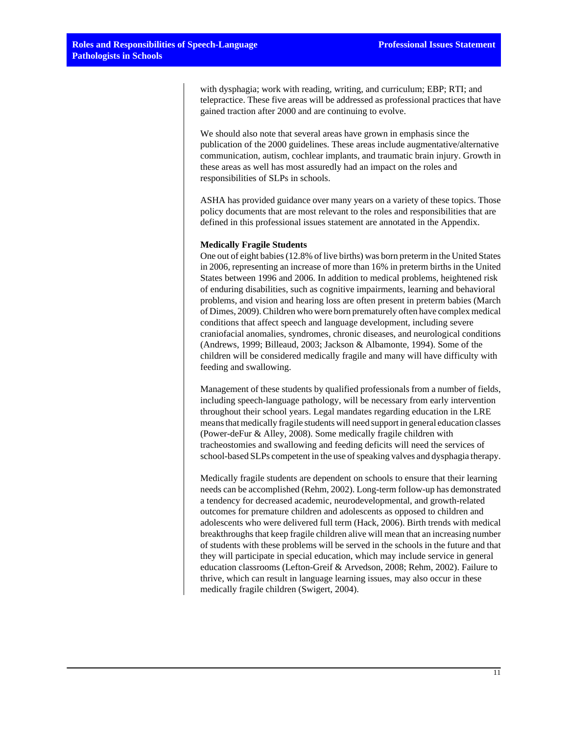with dysphagia; work with reading, writing, and curriculum; EBP; RTI; and telepractice. These five areas will be addressed as professional practices that have gained traction after 2000 and are continuing to evolve.

We should also note that several areas have grown in emphasis since the publication of the 2000 guidelines. These areas include augmentative/alternative communication, autism, cochlear implants, and traumatic brain injury. Growth in these areas as well has most assuredly had an impact on the roles and responsibilities of SLPs in schools.

ASHA has provided guidance over many years on a variety of these topics. Those policy documents that are most relevant to the roles and responsibilities that are defined in this professional issues statement are annotated in the Appendix.

#### **Medically Fragile Students**

One out of eight babies (12.8% of live births) was born preterm in the United States in 2006, representing an increase of more than 16% in preterm births in the United States between 1996 and 2006. In addition to medical problems, heightened risk of enduring disabilities, such as cognitive impairments, learning and behavioral problems, and vision and hearing loss are often present in preterm babies (March of Dimes, 2009). Children who were born prematurely often have complex medical conditions that affect speech and language development, including severe craniofacial anomalies, syndromes, chronic diseases, and neurological conditions (Andrews, 1999; Billeaud, 2003; Jackson & Albamonte, 1994). Some of the children will be considered medically fragile and many will have difficulty with feeding and swallowing.

Management of these students by qualified professionals from a number of fields, including speech-language pathology, will be necessary from early intervention throughout their school years. Legal mandates regarding education in the LRE means that medically fragile students will need support in general education classes (Power-deFur & Alley, 2008). Some medically fragile children with tracheostomies and swallowing and feeding deficits will need the services of school-based SLPs competent in the use of speaking valves and dysphagia therapy.

Medically fragile students are dependent on schools to ensure that their learning needs can be accomplished (Rehm, 2002). Long-term follow-up has demonstrated a tendency for decreased academic, neurodevelopmental, and growth-related outcomes for premature children and adolescents as opposed to children and adolescents who were delivered full term (Hack, 2006). Birth trends with medical breakthroughs that keep fragile children alive will mean that an increasing number of students with these problems will be served in the schools in the future and that they will participate in special education, which may include service in general education classrooms (Lefton-Greif & Arvedson, 2008; Rehm, 2002). Failure to thrive, which can result in language learning issues, may also occur in these medically fragile children (Swigert, 2004).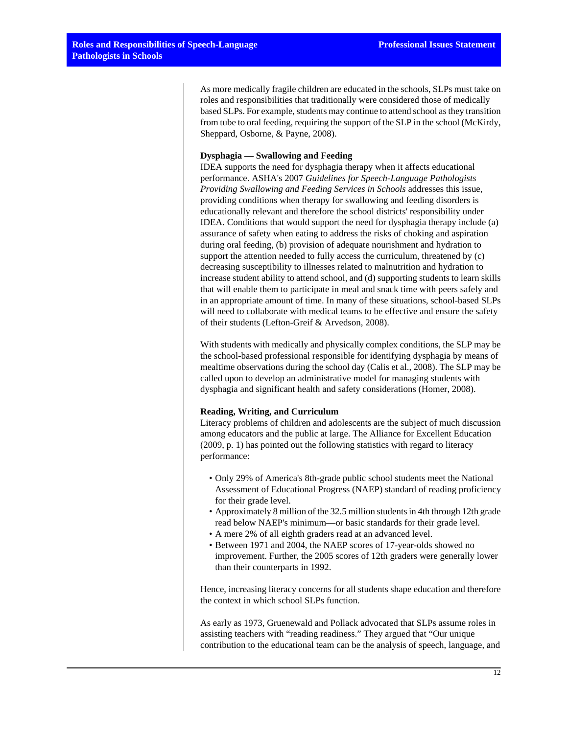As more medically fragile children are educated in the schools, SLPs must take on roles and responsibilities that traditionally were considered those of medically based SLPs. For example, students may continue to attend school as they transition from tube to oral feeding, requiring the support of the SLP in the school (McKirdy, Sheppard, Osborne, & Payne, 2008).

# **Dysphagia — Swallowing and Feeding**

IDEA supports the need for dysphagia therapy when it affects educational performance. ASHA's 2007 *Guidelines for Speech-Language Pathologists Providing Swallowing and Feeding Services in Schools* addresses this issue, providing conditions when therapy for swallowing and feeding disorders is educationally relevant and therefore the school districts' responsibility under IDEA. Conditions that would support the need for dysphagia therapy include (a) assurance of safety when eating to address the risks of choking and aspiration during oral feeding, (b) provision of adequate nourishment and hydration to support the attention needed to fully access the curriculum, threatened by (c) decreasing susceptibility to illnesses related to malnutrition and hydration to increase student ability to attend school, and (d) supporting students to learn skills that will enable them to participate in meal and snack time with peers safely and in an appropriate amount of time. In many of these situations, school-based SLPs will need to collaborate with medical teams to be effective and ensure the safety of their students (Lefton-Greif & Arvedson, 2008).

With students with medically and physically complex conditions, the SLP may be the school-based professional responsible for identifying dysphagia by means of mealtime observations during the school day (Calis et al., 2008). The SLP may be called upon to develop an administrative model for managing students with dysphagia and significant health and safety considerations (Homer, 2008).

#### **Reading, Writing, and Curriculum**

Literacy problems of children and adolescents are the subject of much discussion among educators and the public at large. The Alliance for Excellent Education (2009, p. 1) has pointed out the following statistics with regard to literacy performance:

- Only 29% of America's 8th-grade public school students meet the National Assessment of Educational Progress (NAEP) standard of reading proficiency for their grade level.
- Approximately 8 million of the 32.5 million students in 4th through 12th grade read below NAEP's minimum—or basic standards for their grade level.
- A mere 2% of all eighth graders read at an advanced level.
- Between 1971 and 2004, the NAEP scores of 17-year-olds showed no improvement. Further, the 2005 scores of 12th graders were generally lower than their counterparts in 1992.

Hence, increasing literacy concerns for all students shape education and therefore the context in which school SLPs function.

As early as 1973, Gruenewald and Pollack advocated that SLPs assume roles in assisting teachers with "reading readiness." They argued that "Our unique contribution to the educational team can be the analysis of speech, language, and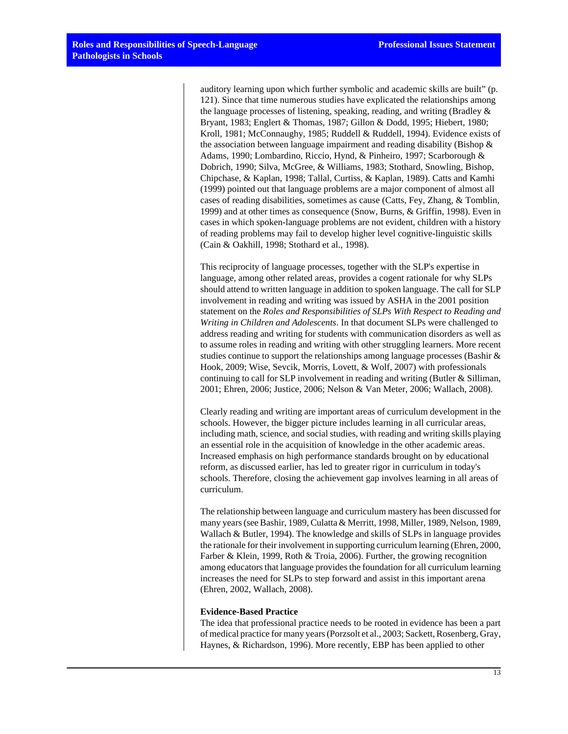auditory learning upon which further symbolic and academic skills are built" (p. 121). Since that time numerous studies have explicated the relationships among the language processes of listening, speaking, reading, and writing (Bradley & Bryant, 1983; Englert & Thomas, 1987; Gillon & Dodd, 1995; Hiebert, 1980; Kroll, 1981; McConnaughy, 1985; Ruddell & Ruddell, 1994). Evidence exists of the association between language impairment and reading disability (Bishop  $\&$ Adams, 1990; Lombardino, Riccio, Hynd, & Pinheiro, 1997; Scarborough & Dobrich, 1990; Silva, McGree, & Williams, 1983; Stothard, Snowling, Bishop, Chipchase, & Kaplan, 1998; Tallal, Curtiss, & Kaplan, 1989). Catts and Kamhi (1999) pointed out that language problems are a major component of almost all cases of reading disabilities, sometimes as cause (Catts, Fey, Zhang, & Tomblin, 1999) and at other times as consequence (Snow, Burns, & Griffin, 1998). Even in cases in which spoken-language problems are not evident, children with a history of reading problems may fail to develop higher level cognitive-linguistic skills (Cain & Oakhill, 1998; Stothard et al., 1998).

This reciprocity of language processes, together with the SLP's expertise in language, among other related areas, provides a cogent rationale for why SLPs should attend to written language in addition to spoken language. The call for SLP involvement in reading and writing was issued by ASHA in the 2001 position statement on the *Roles and Responsibilities of SLPs With Respect to Reading and Writing in Children and Adolescents*. In that document SLPs were challenged to address reading and writing for students with communication disorders as well as to assume roles in reading and writing with other struggling learners. More recent studies continue to support the relationships among language processes (Bashir  $\&$ Hook, 2009; Wise, Sevcik, Morris, Lovett, & Wolf, 2007) with professionals continuing to call for SLP involvement in reading and writing (Butler & Silliman, 2001; Ehren, 2006; Justice, 2006; Nelson & Van Meter, 2006; Wallach, 2008).

Clearly reading and writing are important areas of curriculum development in the schools. However, the bigger picture includes learning in all curricular areas, including math, science, and social studies, with reading and writing skills playing an essential role in the acquisition of knowledge in the other academic areas. Increased emphasis on high performance standards brought on by educational reform, as discussed earlier, has led to greater rigor in curriculum in today's schools. Therefore, closing the achievement gap involves learning in all areas of curriculum.

The relationship between language and curriculum mastery has been discussed for many years (see Bashir, 1989, Culatta & Merritt, 1998, Miller, 1989, Nelson, 1989, Wallach & Butler, 1994). The knowledge and skills of SLPs in language provides the rationale for their involvement in supporting curriculum learning (Ehren, 2000, Farber & Klein, 1999, Roth & Troia, 2006). Further, the growing recognition among educators that language provides the foundation for all curriculum learning increases the need for SLPs to step forward and assist in this important arena (Ehren, 2002, Wallach, 2008).

#### **Evidence-Based Practice**

The idea that professional practice needs to be rooted in evidence has been a part of medical practice for many years (Porzsolt et al., 2003; Sackett, Rosenberg, Gray, Haynes, & Richardson, 1996). More recently, EBP has been applied to other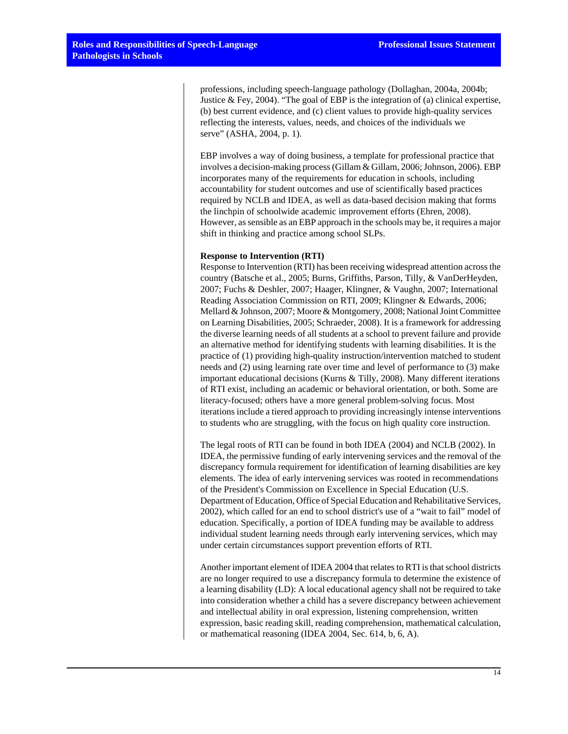professions, including speech-language pathology (Dollaghan, 2004a, 2004b; Justice & Fey, 2004). "The goal of EBP is the integration of (a) clinical expertise, (b) best current evidence, and (c) client values to provide high-quality services reflecting the interests, values, needs, and choices of the individuals we serve" (ASHA, 2004, p. 1).

EBP involves a way of doing business, a template for professional practice that involves a decision-making process (Gillam & Gillam, 2006; Johnson, 2006). EBP incorporates many of the requirements for education in schools, including accountability for student outcomes and use of scientifically based practices required by NCLB and IDEA, as well as data-based decision making that forms the linchpin of schoolwide academic improvement efforts (Ehren, 2008). However, as sensible as an EBP approach in the schools may be, it requires a major shift in thinking and practice among school SLPs.

#### **Response to Intervention (RTI)**

Response to Intervention (RTI) has been receiving widespread attention across the country (Batsche et al., 2005; Burns, Griffiths, Parson, Tilly, & VanDerHeyden, 2007; Fuchs & Deshler, 2007; Haager, Klingner, & Vaughn, 2007; International Reading Association Commission on RTI, 2009; Klingner & Edwards, 2006; Mellard & Johnson, 2007; Moore & Montgomery, 2008; National Joint Committee on Learning Disabilities, 2005; Schraeder, 2008). It is a framework for addressing the diverse learning needs of all students at a school to prevent failure and provide an alternative method for identifying students with learning disabilities. It is the practice of (1) providing high-quality instruction/intervention matched to student needs and (2) using learning rate over time and level of performance to (3) make important educational decisions (Kurns & Tilly, 2008). Many different iterations of RTI exist, including an academic or behavioral orientation, or both. Some are literacy-focused; others have a more general problem-solving focus. Most iterations include a tiered approach to providing increasingly intense interventions to students who are struggling, with the focus on high quality core instruction.

The legal roots of RTI can be found in both IDEA (2004) and NCLB (2002). In IDEA, the permissive funding of early intervening services and the removal of the discrepancy formula requirement for identification of learning disabilities are key elements. The idea of early intervening services was rooted in recommendations of the President's Commission on Excellence in Special Education (U.S. Department of Education, Office of Special Education and Rehabilitative Services, 2002), which called for an end to school district's use of a "wait to fail" model of education. Specifically, a portion of IDEA funding may be available to address individual student learning needs through early intervening services, which may under certain circumstances support prevention efforts of RTI.

Another important element of IDEA 2004 that relates to RTI is that school districts are no longer required to use a discrepancy formula to determine the existence of a learning disability (LD): A local educational agency shall not be required to take into consideration whether a child has a severe discrepancy between achievement and intellectual ability in oral expression, listening comprehension, written expression, basic reading skill, reading comprehension, mathematical calculation, or mathematical reasoning (IDEA 2004, Sec. 614, b, 6, A).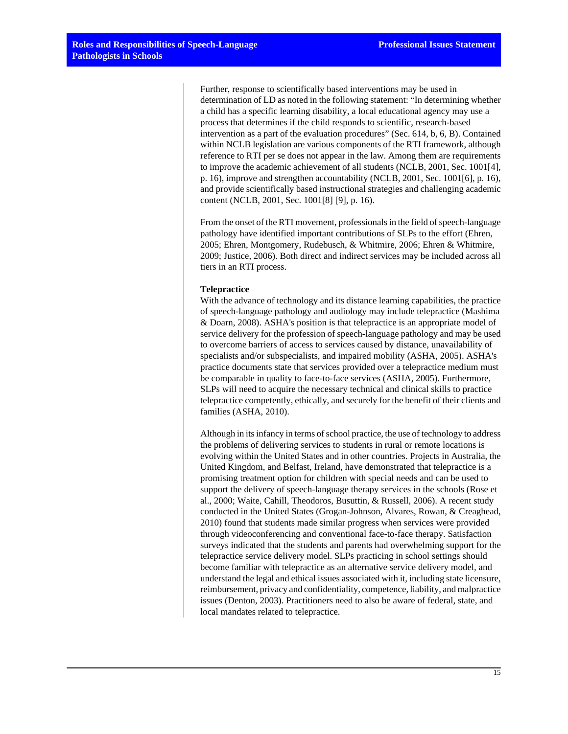Further, response to scientifically based interventions may be used in determination of LD as noted in the following statement: "In determining whether a child has a specific learning disability, a local educational agency may use a process that determines if the child responds to scientific, research-based intervention as a part of the evaluation procedures" (Sec. 614, b, 6, B). Contained within NCLB legislation are various components of the RTI framework, although reference to RTI per se does not appear in the law. Among them are requirements to improve the academic achievement of all students (NCLB, 2001, Sec. 1001[4], p. 16), improve and strengthen accountability (NCLB, 2001, Sec. 1001[6], p. 16), and provide scientifically based instructional strategies and challenging academic content (NCLB, 2001, Sec. 1001[8] [9], p. 16).

From the onset of the RTI movement, professionals in the field of speech-language pathology have identified important contributions of SLPs to the effort (Ehren, 2005; Ehren, Montgomery, Rudebusch, & Whitmire, 2006; Ehren & Whitmire, 2009; Justice, 2006). Both direct and indirect services may be included across all tiers in an RTI process.

#### **Telepractice**

With the advance of technology and its distance learning capabilities, the practice of speech-language pathology and audiology may include telepractice (Mashima & Doarn, 2008). ASHA's position is that telepractice is an appropriate model of service delivery for the profession of speech-language pathology and may be used to overcome barriers of access to services caused by distance, unavailability of specialists and/or subspecialists, and impaired mobility (ASHA, 2005). ASHA's practice documents state that services provided over a telepractice medium must be comparable in quality to face-to-face services (ASHA, 2005). Furthermore, SLPs will need to acquire the necessary technical and clinical skills to practice telepractice competently, ethically, and securely for the benefit of their clients and families (ASHA, 2010).

Although in its infancy in terms of school practice, the use of technology to address the problems of delivering services to students in rural or remote locations is evolving within the United States and in other countries. Projects in Australia, the United Kingdom, and Belfast, Ireland, have demonstrated that telepractice is a promising treatment option for children with special needs and can be used to support the delivery of speech-language therapy services in the schools (Rose et al., 2000; Waite, Cahill, Theodoros, Busuttin, & Russell, 2006). A recent study conducted in the United States (Grogan-Johnson, Alvares, Rowan, & Creaghead, 2010) found that students made similar progress when services were provided through videoconferencing and conventional face-to-face therapy. Satisfaction surveys indicated that the students and parents had overwhelming support for the telepractice service delivery model. SLPs practicing in school settings should become familiar with telepractice as an alternative service delivery model, and understand the legal and ethical issues associated with it, including state licensure, reimbursement, privacy and confidentiality, competence, liability, and malpractice issues (Denton, 2003). Practitioners need to also be aware of federal, state, and local mandates related to telepractice.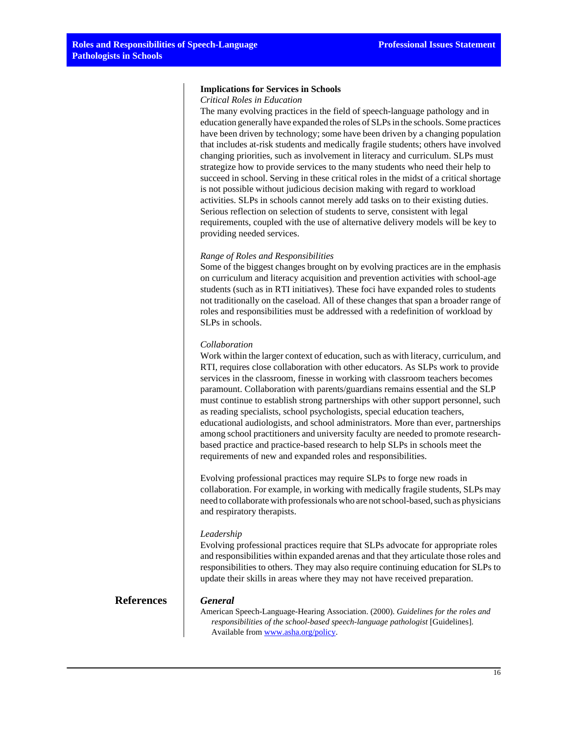#### **Implications for Services in Schools**

#### *Critical Roles in Education*

The many evolving practices in the field of speech-language pathology and in education generally have expanded the roles of SLPs in the schools. Some practices have been driven by technology; some have been driven by a changing population that includes at-risk students and medically fragile students; others have involved changing priorities, such as involvement in literacy and curriculum. SLPs must strategize how to provide services to the many students who need their help to succeed in school. Serving in these critical roles in the midst of a critical shortage is not possible without judicious decision making with regard to workload activities. SLPs in schools cannot merely add tasks on to their existing duties. Serious reflection on selection of students to serve, consistent with legal requirements, coupled with the use of alternative delivery models will be key to providing needed services.

#### *Range of Roles and Responsibilities*

Some of the biggest changes brought on by evolving practices are in the emphasis on curriculum and literacy acquisition and prevention activities with school-age students (such as in RTI initiatives). These foci have expanded roles to students not traditionally on the caseload. All of these changes that span a broader range of roles and responsibilities must be addressed with a redefinition of workload by SLPs in schools.

#### *Collaboration*

Work within the larger context of education, such as with literacy, curriculum, and RTI, requires close collaboration with other educators. As SLPs work to provide services in the classroom, finesse in working with classroom teachers becomes paramount. Collaboration with parents/guardians remains essential and the SLP must continue to establish strong partnerships with other support personnel, such as reading specialists, school psychologists, special education teachers, educational audiologists, and school administrators. More than ever, partnerships among school practitioners and university faculty are needed to promote researchbased practice and practice-based research to help SLPs in schools meet the requirements of new and expanded roles and responsibilities.

Evolving professional practices may require SLPs to forge new roads in collaboration. For example, in working with medically fragile students, SLPs may need to collaborate with professionals who are not school-based, such as physicians and respiratory therapists.

#### *Leadership*

Evolving professional practices require that SLPs advocate for appropriate roles and responsibilities within expanded arenas and that they articulate those roles and responsibilities to others. They may also require continuing education for SLPs to update their skills in areas where they may not have received preparation.

# **References** *General*

American Speech-Language-Hearing Association. (2000). *Guidelines for the roles and responsibilities of the school-based speech-language pathologist* [Guidelines]. Available from [www.asha.org/policy.](http://www.asha.org/policy)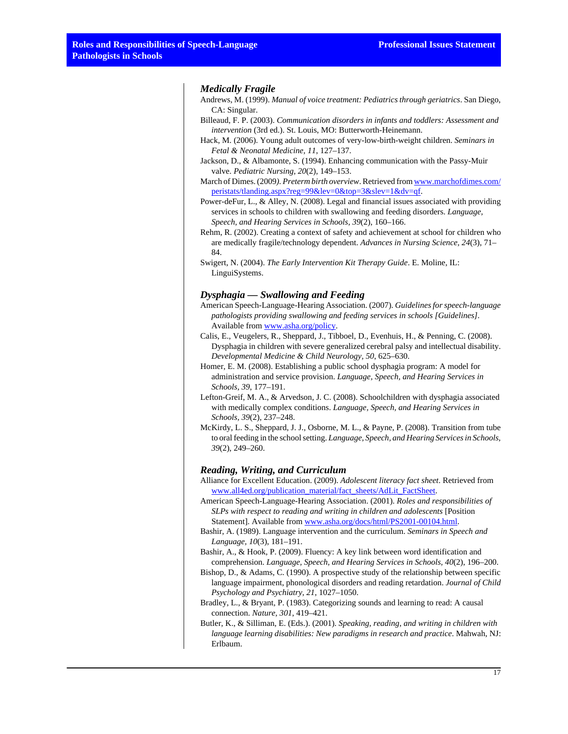#### *Medically Fragile*

Andrews, M. (1999). *Manual of voice treatment: Pediatrics through geriatrics*. San Diego, CA: Singular.

- Billeaud, F. P. (2003). *Communication disorders in infants and toddlers: Assessment and intervention* (3rd ed.). St. Louis, MO: Butterworth-Heinemann.
- Hack, M. (2006). Young adult outcomes of very-low-birth-weight children. *Seminars in Fetal & Neonatal Medicine, 11*, 127–137.
- Jackson, D., & Albamonte, S. (1994). Enhancing communication with the Passy-Muir valve. *Pediatric Nursing, 20*(2), 149–153.
- March of Dimes. (2009*). Preterm birth overview*. Retrieved from [www.marchofdimes.com/](http://www.marchofdimes.com/peristats/tlanding.aspx?reg=99&lev=0&top=3&slev=1&dv=qf) [peristats/tlanding.aspx?reg=99&lev=0&top=3&slev=1&dv=qf.](http://www.marchofdimes.com/peristats/tlanding.aspx?reg=99&lev=0&top=3&slev=1&dv=qf)
- Power-deFur, L., & Alley, N. (2008). Legal and financial issues associated with providing services in schools to children with swallowing and feeding disorders. *Language, Speech, and Hearing Services in Schools, 39*(2), 160–166.
- Rehm, R. (2002). Creating a context of safety and achievement at school for children who are medically fragile/technology dependent. *Advances in Nursing Science, 24*(3), 71– 84.

#### *Dysphagia — Swallowing and Feeding*

- American Speech-Language-Hearing Association. (2007). *Guidelines for speech-language pathologists providing swallowing and feeding services in schools [Guidelines]*. Available from [www.asha.org/policy.](http://www.asha.org/policy)
- Calis, E., Veugelers, R., Sheppard, J., Tibboel, D., Evenhuis, H., & Penning, C. (2008). Dysphagia in children with severe generalized cerebral palsy and intellectual disability. *Developmental Medicine & Child Neurology, 50*, 625–630.
- Homer, E. M. (2008). Establishing a public school dysphagia program: A model for administration and service provision. *Language, Speech, and Hearing Services in Schools, 39*, 177–191.
- Lefton-Greif, M. A., & Arvedson, J. C. (2008). Schoolchildren with dysphagia associated with medically complex conditions. *Language, Speech, and Hearing Services in Schools, 39*(2), 237–248.
- McKirdy, L. S., Sheppard, J. J., Osborne, M. L., & Payne, P. (2008). Transition from tube to oral feeding in the school setting. *Language, Speech, and Hearing Services in Schools, 39*(2), 249–260.

#### *Reading, Writing, and Curriculum*

- Alliance for Excellent Education. (2009). *Adolescent literacy fact sheet*. Retrieved from [www.all4ed.org/publication\\_material/fact\\_sheets/AdLit\\_FactSheet](http://www.all4ed.org/publication_material/fact_sheets/AdLit_FactSheet).
- American Speech-Language-Hearing Association. (2001). *Roles and responsibilities of SLPs with respect to reading and writing in children and adolescents* [Position Statement]. Available from [www.asha.org/docs/html/PS2001-00104.html](http://www.asha.org/docs/html/PS2001-00104.html).
- Bashir, A. (1989). Language intervention and the curriculum. *Seminars in Speech and Language, 10*(3), 181–191.
- Bashir, A., & Hook, P. (2009). Fluency: A key link between word identification and comprehension. *Language, Speech, and Hearing Services in Schools, 40*(2), 196–200.
- Bishop, D., & Adams, C. (1990). A prospective study of the relationship between specific language impairment, phonological disorders and reading retardation. *Journal of Child Psychology and Psychiatry, 21*, 1027–1050.
- Bradley, L., & Bryant, P. (1983). Categorizing sounds and learning to read: A causal connection. *Nature, 301*, 419–421.
- Butler, K., & Silliman, E. (Eds.). (2001). *Speaking, reading, and writing in children with language learning disabilities: New paradigms in research and practice*. Mahwah, NJ: Erlbaum.

Swigert, N. (2004). *The Early Intervention Kit Therapy Guide*. E. Moline, IL: LinguiSystems.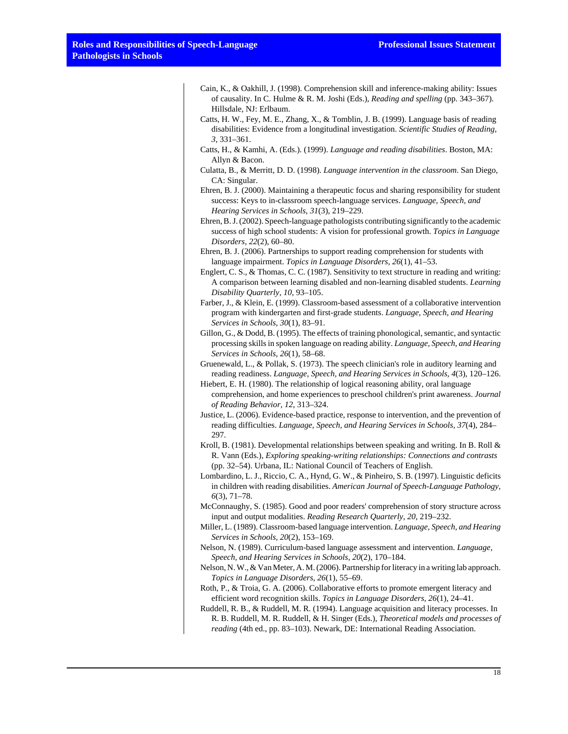| Cain, K., & Oakhill, J. (1998). Comprehension skill and inference-making ability: Issues      |
|-----------------------------------------------------------------------------------------------|
| of causality. In C. Hulme & R. M. Joshi (Eds.), <i>Reading and spelling</i> (pp. $343-367$ ). |
| Hillsdale, NJ: Erlbaum.                                                                       |

- Catts, H. W., Fey, M. E., Zhang, X., & Tomblin, J. B. (1999). Language basis of reading disabilities: Evidence from a longitudinal investigation. *Scientific Studies of Reading, 3*, 331–361.
- Catts, H., & Kamhi, A. (Eds.). (1999). *Language and reading disabilities*. Boston, MA: Allyn & Bacon.
- Culatta, B., & Merritt, D. D. (1998). *Language intervention in the classroom*. San Diego, CA: Singular.
- Ehren, B. J. (2000). Maintaining a therapeutic focus and sharing responsibility for student success: Keys to in-classroom speech-language services. *Language, Speech, and Hearing Services in Schools, 31*(3), 219–229.
- Ehren, B. J. (2002). Speech-language pathologists contributing significantly to the academic success of high school students: A vision for professional growth. *Topics in Language Disorders, 22*(2), 60–80.
- Ehren, B. J. (2006). Partnerships to support reading comprehension for students with language impairment. *Topics in Language Disorders, 26*(1), 41–53.
- Englert, C. S., & Thomas, C. C. (1987). Sensitivity to text structure in reading and writing: A comparison between learning disabled and non-learning disabled students. *Learning Disability Quarterly, 10*, 93–105.
- Farber, J., & Klein, E. (1999). Classroom-based assessment of a collaborative intervention program with kindergarten and first-grade students. *Language, Speech, and Hearing Services in Schools, 30*(1), 83–91.
- Gillon, G., & Dodd, B. (1995). The effects of training phonological, semantic, and syntactic processing skills in spoken language on reading ability. *Language, Speech, and Hearing Services in Schools, 26*(1), 58–68.
- Gruenewald, L., & Pollak, S. (1973). The speech clinician's role in auditory learning and reading readiness. *Language, Speech, and Hearing Services in Schools, 4*(3), 120–126.
- Hiebert, E. H. (1980). The relationship of logical reasoning ability, oral language comprehension, and home experiences to preschool children's print awareness. *Journal of Reading Behavior, 12*, 313–324.
- Justice, L. (2006). Evidence-based practice, response to intervention, and the prevention of reading difficulties. *Language, Speech, and Hearing Services in Schools, 37*(4), 284– 297.
- Kroll, B. (1981). Developmental relationships between speaking and writing. In B. Roll & R. Vann (Eds.), *Exploring speaking-writing relationships: Connections and contrasts* (pp. 32–54). Urbana, IL: National Council of Teachers of English.
- Lombardino, L. J., Riccio, C. A., Hynd, G. W., & Pinheiro, S. B. (1997). Linguistic deficits in children with reading disabilities. *American Journal of Speech-Language Pathology, 6*(3), 71–78.
- McConnaughy, S. (1985). Good and poor readers' comprehension of story structure across input and output modalities. *Reading Research Quarterly, 20*, 219–232.
- Miller, L. (1989). Classroom-based language intervention. *Language, Speech, and Hearing Services in Schools, 20*(2), 153–169.
- Nelson, N. (1989). Curriculum-based language assessment and intervention. *Language, Speech, and Hearing Services in Schools, 20*(2), 170–184.
- Nelson, N. W., & Van Meter, A. M. (2006). Partnership for literacy in a writing lab approach. *Topics in Language Disorders, 26*(1), 55–69.
- Roth, P., & Troia, G. A. (2006). Collaborative efforts to promote emergent literacy and efficient word recognition skills. *Topics in Language Disorders, 26*(1), 24–41.
- Ruddell, R. B., & Ruddell, M. R. (1994). Language acquisition and literacy processes. In R. B. Ruddell, M. R. Ruddell, & H. Singer (Eds.), *Theoretical models and processes of reading* (4th ed., pp. 83–103). Newark, DE: International Reading Association.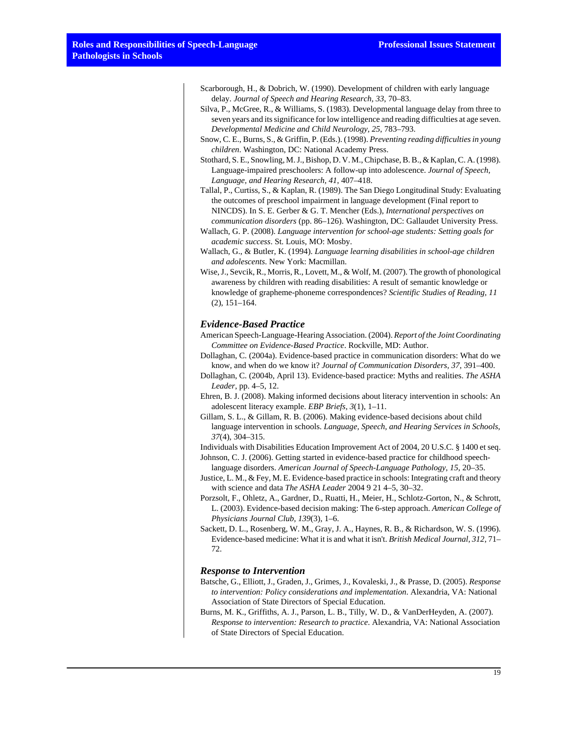- Scarborough, H., & Dobrich, W. (1990). Development of children with early language delay. *Journal of Speech and Hearing Research, 33*, 70–83.
- Silva, P., McGree, R., & Williams, S. (1983). Developmental language delay from three to seven years and its significance for low intelligence and reading difficulties at age seven. *Developmental Medicine and Child Neurology, 25*, 783–793.
- Snow, C. E., Burns, S., & Griffin, P. (Eds.). (1998). *Preventing reading difficulties in young children*. Washington, DC: National Academy Press.
- Stothard, S. E., Snowling, M. J., Bishop, D. V. M., Chipchase, B. B., & Kaplan, C. A. (1998). Language-impaired preschoolers: A follow-up into adolescence. *Journal of Speech, Language, and Hearing Research, 41*, 407–418.
- Tallal, P., Curtiss, S., & Kaplan, R. (1989). The San Diego Longitudinal Study: Evaluating the outcomes of preschool impairment in language development (Final report to NINCDS). In S. E. Gerber & G. T. Mencher (Eds.), *International perspectives on communication disorders* (pp. 86–126). Washington, DC: Gallaudet University Press.
- Wallach, G. P. (2008). *Language intervention for school-age students: Setting goals for academic success*. St. Louis, MO: Mosby.
- Wallach, G., & Butler, K. (1994). *Language learning disabilities in school-age children and adolescents*. New York: Macmillan.
- Wise, J., Sevcik, R., Morris, R., Lovett, M., & Wolf, M. (2007). The growth of phonological awareness by children with reading disabilities: A result of semantic knowledge or knowledge of grapheme-phoneme correspondences? *Scientific Studies of Reading, 11* (2), 151–164.

#### *Evidence-Based Practice*

- American Speech-Language-Hearing Association. (2004). *Report of the Joint Coordinating Committee on Evidence-Based Practice*. Rockville, MD: Author.
- Dollaghan, C. (2004a). Evidence-based practice in communication disorders: What do we know, and when do we know it? *Journal of Communication Disorders, 37*, 391–400.
- Dollaghan, C. (2004b, April 13). Evidence-based practice: Myths and realities. *The ASHA Leader*, pp. 4–5, 12.
- Ehren, B. J. (2008). Making informed decisions about literacy intervention in schools: An adolescent literacy example. *EBP Briefs, 3*(1), 1–11.
- Gillam, S. L., & Gillam, R. B. (2006). Making evidence-based decisions about child language intervention in schools. *Language, Speech, and Hearing Services in Schools, 37*(4), 304–315.
- Individuals with Disabilities Education Improvement Act of 2004, 20 U.S.C. § 1400 et seq.
- Johnson, C. J. (2006). Getting started in evidence-based practice for childhood speechlanguage disorders. *American Journal of Speech-Language Pathology, 15*, 20–35.
- Justice, L. M., & Fey, M. E. Evidence-based practice in schools: Integrating craft and theory with science and data *The ASHA Leader* 2004 9 21 4–5, 30–32.
- Porzsolt, F., Ohletz, A., Gardner, D., Ruatti, H., Meier, H., Schlotz-Gorton, N., & Schrott, L. (2003). Evidence-based decision making: The 6-step approach. *American College of Physicians Journal Club, 139*(3), 1–6.
- Sackett, D. L., Rosenberg, W. M., Gray, J. A., Haynes, R. B., & Richardson, W. S. (1996). Evidence-based medicine: What it is and what it isn't. *British Medical Journal, 312*, 71– 72.

### *Response to Intervention*

- Batsche, G., Elliott, J., Graden, J., Grimes, J., Kovaleski, J., & Prasse, D. (2005). *Response to intervention: Policy considerations and implementation*. Alexandria, VA: National Association of State Directors of Special Education.
- Burns, M. K., Griffiths, A. J., Parson, L. B., Tilly, W. D., & VanDerHeyden, A. (2007). *Response to intervention: Research to practice*. Alexandria, VA: National Association of State Directors of Special Education.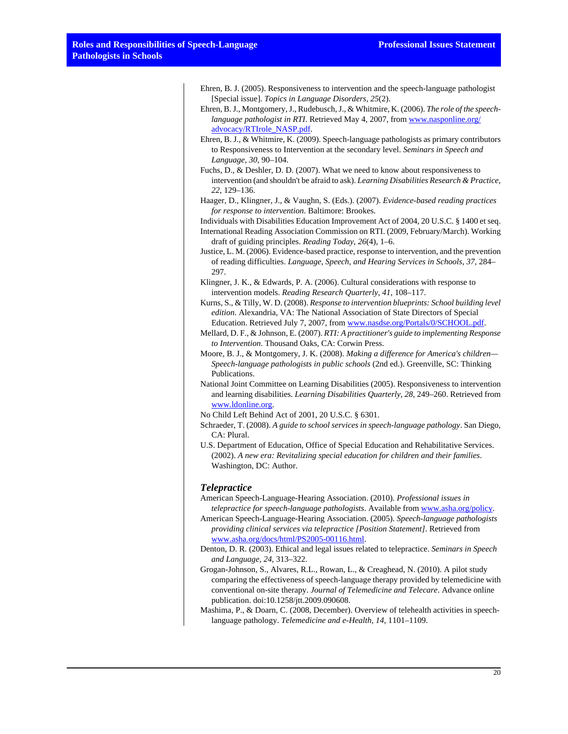- Ehren, B. J. (2005). Responsiveness to intervention and the speech-language pathologist [Special issue]. *Topics in Language Disorders, 25*(2).
- Ehren, B. J., Montgomery, J., Rudebusch, J., & Whitmire, K. (2006). *The role of the speechlanguage pathologist in RTI.* Retrieved May 4, 2007, from [www.nasponline.org/](http://www.nasponline.org/advocacy/RTIrole_NASP.pdf) [advocacy/RTIrole\\_NASP.pdf.](http://www.nasponline.org/advocacy/RTIrole_NASP.pdf)
- Ehren, B. J., & Whitmire, K. (2009). Speech-language pathologists as primary contributors to Responsiveness to Intervention at the secondary level. *Seminars in Speech and Language, 30*, 90–104.
- Fuchs, D., & Deshler, D. D. (2007). What we need to know about responsiveness to intervention (and shouldn't be afraid to ask). *Learning Disabilities Research & Practice, 22*, 129–136.
- Haager, D., Klingner, J., & Vaughn, S. (Eds.). (2007). *Evidence-based reading practices for response to intervention*. Baltimore: Brookes.

Individuals with Disabilities Education Improvement Act of 2004, 20 U.S.C. § 1400 et seq.

- International Reading Association Commission on RTI. (2009, February/March). Working draft of guiding principles. *Reading Today, 26*(4), 1–6.
- Justice, L. M. (2006). Evidence-based practice, response to intervention, and the prevention of reading difficulties. *Language, Speech, and Hearing Services in Schools, 37*, 284– 297.
- Klingner, J. K., & Edwards, P. A. (2006). Cultural considerations with response to intervention models. *Reading Research Quarterly, 41*, 108–117.
- Kurns, S., & Tilly, W. D. (2008). *Response to intervention blueprints: School building level edition*. Alexandria, VA: The National Association of State Directors of Special Education. Retrieved July 7, 2007, from [www.nasdse.org/Portals/0/SCHOOL.pdf.](http://www.nasdse.org/Portals/0/SCHOOL.pdf)
- Mellard, D. F., & Johnson, E. (2007). *RTI: A practitioner's guide to implementing Response to Intervention*. Thousand Oaks, CA: Corwin Press.
- Moore, B. J., & Montgomery, J. K. (2008). *Making a difference for America's children— Speech-language pathologists in public schools* (2nd ed.). Greenville, SC: Thinking Publications.
- National Joint Committee on Learning Disabilities (2005). Responsiveness to intervention and learning disabilities. *Learning Disabilities Quarterly*, *28*, 249–260. Retrieved from [www.ldonline.org](http://www.ldonline.org).
- No Child Left Behind Act of 2001, 20 U.S.C. § 6301.
- Schraeder, T. (2008). *A guide to school services in speech-language pathology*. San Diego, CA: Plural.
- U.S. Department of Education, Office of Special Education and Rehabilitative Services. (2002). *A new era: Revitalizing special education for children and their families*. Washington, DC: Author.

#### *Telepractice*

- American Speech-Language-Hearing Association. (2010). *Professional issues in telepractice for speech-language pathologists*. Available from [www.asha.org/policy](http://www.asha.org/policy).
- American Speech-Language-Hearing Association. (2005). *Speech-language pathologists providing clinical services via telepractice [Position Statement]*. Retrieved from [www.asha.org/docs/html/PS2005-00116.html.](http://www.asha.org/docs/html/PS2005-00116.html)
- Denton, D. R. (2003). Ethical and legal issues related to telepractice. *Seminars in Speech and Language, 24*, 313–322.
- Grogan-Johnson, S., Alvares, R.L., Rowan, L., & Creaghead, N. (2010). A pilot study comparing the effectiveness of speech-language therapy provided by telemedicine with conventional on-site therapy. *Journal of Telemedicine and Telecare*. Advance online publication. doi:10.1258/jtt.2009.090608.
- Mashima, P., & Doarn, C. (2008, December). Overview of telehealth activities in speechlanguage pathology. *Telemedicine and e-Health, 14*, 1101–1109.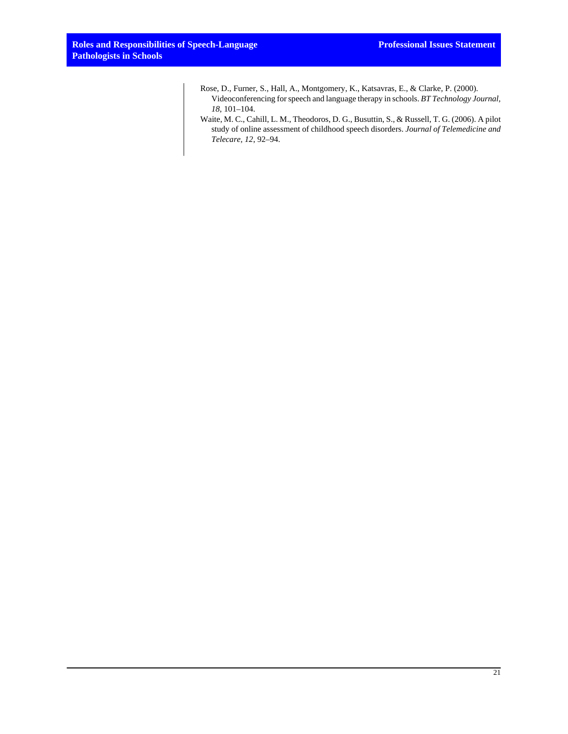- Rose, D., Furner, S., Hall, A., Montgomery, K., Katsavras, E., & Clarke, P. (2000). Videoconferencing for speech and language therapy in schools. *BT Technology Journal, 18*, 101–104.
- Waite, M. C., Cahill, L. M., Theodoros, D. G., Busuttin, S., & Russell, T. G. (2006). A pilot study of online assessment of childhood speech disorders. *Journal of Telemedicine and Telecare, 12*, 92–94.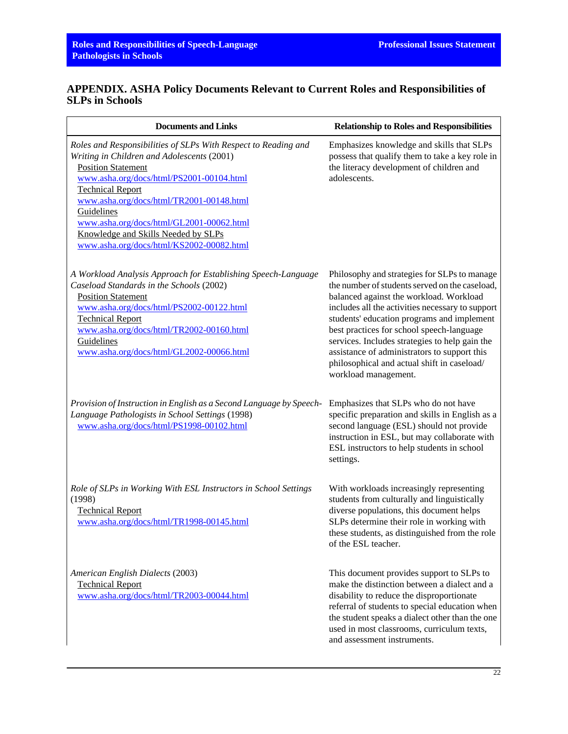# **APPENDIX. ASHA Policy Documents Relevant to Current Roles and Responsibilities of SLPs in Schools**

| <b>Documents and Links</b>                                                                                                                                                                                                                                                                                                                                                                                | <b>Relationship to Roles and Responsibilities</b>                                                                                                                                                                                                                                                                                                                                                                                                                 |
|-----------------------------------------------------------------------------------------------------------------------------------------------------------------------------------------------------------------------------------------------------------------------------------------------------------------------------------------------------------------------------------------------------------|-------------------------------------------------------------------------------------------------------------------------------------------------------------------------------------------------------------------------------------------------------------------------------------------------------------------------------------------------------------------------------------------------------------------------------------------------------------------|
| Roles and Responsibilities of SLPs With Respect to Reading and<br>Writing in Children and Adolescents (2001)<br><b>Position Statement</b><br>www.asha.org/docs/html/PS2001-00104.html<br><b>Technical Report</b><br>www.asha.org/docs/html/TR2001-00148.html<br>Guidelines<br>www.asha.org/docs/html/GL2001-00062.html<br>Knowledge and Skills Needed by SLPs<br>www.asha.org/docs/html/KS2002-00082.html | Emphasizes knowledge and skills that SLPs<br>possess that qualify them to take a key role in<br>the literacy development of children and<br>adolescents.                                                                                                                                                                                                                                                                                                          |
| A Workload Analysis Approach for Establishing Speech-Language<br>Caseload Standards in the Schools (2002)<br><b>Position Statement</b><br>www.asha.org/docs/html/PS2002-00122.html<br><b>Technical Report</b><br>www.asha.org/docs/html/TR2002-00160.html<br>Guidelines<br>www.asha.org/docs/html/GL2002-00066.html                                                                                       | Philosophy and strategies for SLPs to manage<br>the number of students served on the caseload,<br>balanced against the workload. Workload<br>includes all the activities necessary to support<br>students' education programs and implement<br>best practices for school speech-language<br>services. Includes strategies to help gain the<br>assistance of administrators to support this<br>philosophical and actual shift in caseload/<br>workload management. |
| Provision of Instruction in English as a Second Language by Speech-<br>Language Pathologists in School Settings (1998)<br>www.asha.org/docs/html/PS1998-00102.html                                                                                                                                                                                                                                        | Emphasizes that SLPs who do not have<br>specific preparation and skills in English as a<br>second language (ESL) should not provide<br>instruction in ESL, but may collaborate with<br>ESL instructors to help students in school<br>settings.                                                                                                                                                                                                                    |
| Role of SLPs in Working With ESL Instructors in School Settings<br>(1998)<br><b>Technical Report</b><br>www.asha.org/docs/html/TR1998-00145.html                                                                                                                                                                                                                                                          | With workloads increasingly representing<br>students from culturally and linguistically<br>diverse populations, this document helps<br>SLPs determine their role in working with<br>these students, as distinguished from the role<br>of the ESL teacher.                                                                                                                                                                                                         |
| American English Dialects (2003)<br><b>Technical Report</b><br>www.asha.org/docs/html/TR2003-00044.html                                                                                                                                                                                                                                                                                                   | This document provides support to SLPs to<br>make the distinction between a dialect and a<br>disability to reduce the disproportionate<br>referral of students to special education when<br>the student speaks a dialect other than the one<br>used in most classrooms, curriculum texts,<br>and assessment instruments.                                                                                                                                          |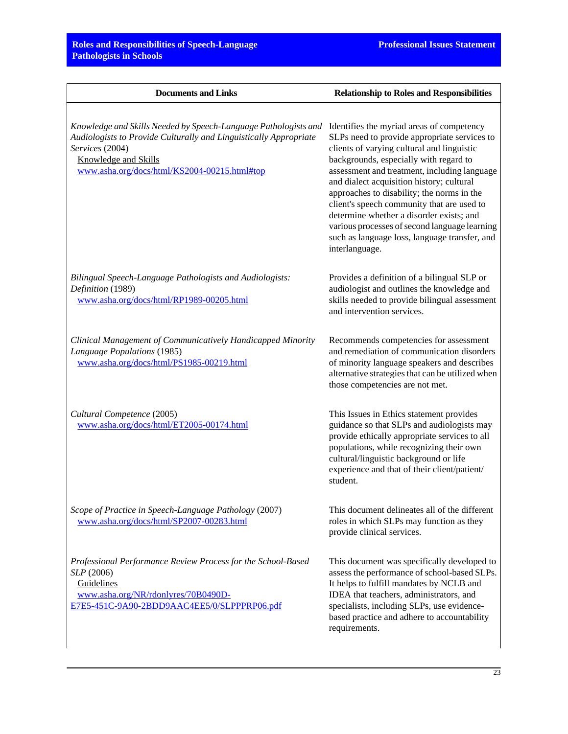| <b>Documents and Links</b>                                                                                                                                                                                                      | <b>Relationship to Roles and Responsibilities</b>                                                                                                                                                                                                                                                                                                                                                                                                                                                                                          |
|---------------------------------------------------------------------------------------------------------------------------------------------------------------------------------------------------------------------------------|--------------------------------------------------------------------------------------------------------------------------------------------------------------------------------------------------------------------------------------------------------------------------------------------------------------------------------------------------------------------------------------------------------------------------------------------------------------------------------------------------------------------------------------------|
| Knowledge and Skills Needed by Speech-Language Pathologists and<br>Audiologists to Provide Culturally and Linguistically Appropriate<br>Services (2004)<br>Knowledge and Skills<br>www.asha.org/docs/html/KS2004-00215.html#top | Identifies the myriad areas of competency<br>SLPs need to provide appropriate services to<br>clients of varying cultural and linguistic<br>backgrounds, especially with regard to<br>assessment and treatment, including language<br>and dialect acquisition history; cultural<br>approaches to disability; the norms in the<br>client's speech community that are used to<br>determine whether a disorder exists; and<br>various processes of second language learning<br>such as language loss, language transfer, and<br>interlanguage. |
| Bilingual Speech-Language Pathologists and Audiologists:<br>Definition (1989)<br>www.asha.org/docs/html/RP1989-00205.html                                                                                                       | Provides a definition of a bilingual SLP or<br>audiologist and outlines the knowledge and<br>skills needed to provide bilingual assessment<br>and intervention services.                                                                                                                                                                                                                                                                                                                                                                   |
| Clinical Management of Communicatively Handicapped Minority<br>Language Populations (1985)<br>www.asha.org/docs/html/PS1985-00219.html                                                                                          | Recommends competencies for assessment<br>and remediation of communication disorders<br>of minority language speakers and describes<br>alternative strategies that can be utilized when<br>those competencies are not met.                                                                                                                                                                                                                                                                                                                 |
| Cultural Competence (2005)<br>www.asha.org/docs/html/ET2005-00174.html                                                                                                                                                          | This Issues in Ethics statement provides<br>guidance so that SLPs and audiologists may<br>provide ethically appropriate services to all<br>populations, while recognizing their own<br>cultural/linguistic background or life<br>experience and that of their client/patient/<br>student.                                                                                                                                                                                                                                                  |
| Scope of Practice in Speech-Language Pathology (2007)<br>www.asha.org/docs/html/SP2007-00283.html                                                                                                                               | This document delineates all of the different<br>roles in which SLPs may function as they<br>provide clinical services.                                                                                                                                                                                                                                                                                                                                                                                                                    |
| Professional Performance Review Process for the School-Based<br>SLP (2006)<br>Guidelines<br>www.asha.org/NR/rdonlyres/70B0490D-<br>E7E5-451C-9A90-2BDD9AAC4EE5/0/SLPPPRP06.pdf                                                  | This document was specifically developed to<br>assess the performance of school-based SLPs.<br>It helps to fulfill mandates by NCLB and<br>IDEA that teachers, administrators, and<br>specialists, including SLPs, use evidence-<br>based practice and adhere to accountability<br>requirements.                                                                                                                                                                                                                                           |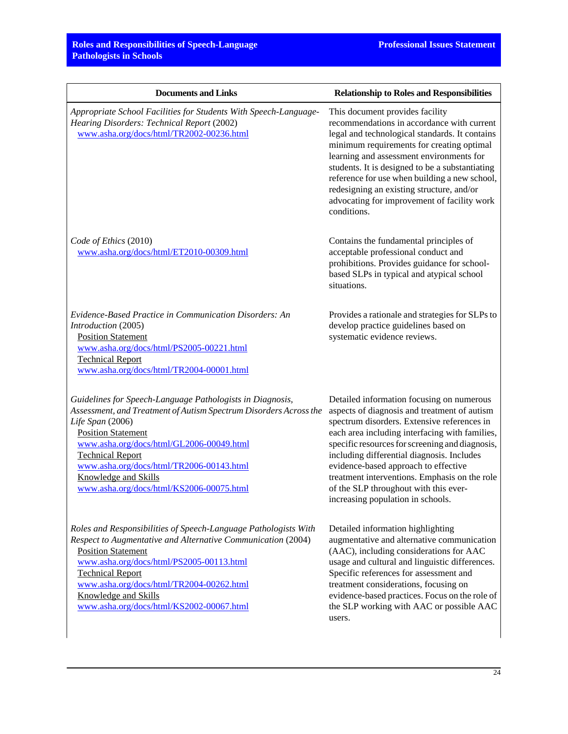| <b>Documents and Links</b>                                                                                                                                                                                                                                                                                                                                             | <b>Relationship to Roles and Responsibilities</b>                                                                                                                                                                                                                                                                                                                                                                                                                  |
|------------------------------------------------------------------------------------------------------------------------------------------------------------------------------------------------------------------------------------------------------------------------------------------------------------------------------------------------------------------------|--------------------------------------------------------------------------------------------------------------------------------------------------------------------------------------------------------------------------------------------------------------------------------------------------------------------------------------------------------------------------------------------------------------------------------------------------------------------|
| Appropriate School Facilities for Students With Speech-Language-<br>Hearing Disorders: Technical Report (2002)<br>www.asha.org/docs/html/TR2002-00236.html                                                                                                                                                                                                             | This document provides facility<br>recommendations in accordance with current<br>legal and technological standards. It contains<br>minimum requirements for creating optimal<br>learning and assessment environments for<br>students. It is designed to be a substantiating<br>reference for use when building a new school,<br>redesigning an existing structure, and/or<br>advocating for improvement of facility work<br>conditions.                            |
| Code of Ethics (2010)<br>www.asha.org/docs/html/ET2010-00309.html                                                                                                                                                                                                                                                                                                      | Contains the fundamental principles of<br>acceptable professional conduct and<br>prohibitions. Provides guidance for school-<br>based SLPs in typical and atypical school<br>situations.                                                                                                                                                                                                                                                                           |
| Evidence-Based Practice in Communication Disorders: An<br>Introduction (2005)<br><b>Position Statement</b><br>www.asha.org/docs/html/PS2005-00221.html<br><b>Technical Report</b><br>www.asha.org/docs/html/TR2004-00001.html                                                                                                                                          | Provides a rationale and strategies for SLPs to<br>develop practice guidelines based on<br>systematic evidence reviews.                                                                                                                                                                                                                                                                                                                                            |
| Guidelines for Speech-Language Pathologists in Diagnosis,<br>Assessment, and Treatment of Autism Spectrum Disorders Across the<br>Life Span (2006)<br><b>Position Statement</b><br>www.asha.org/docs/html/GL2006-00049.html<br><b>Technical Report</b><br>www.asha.org/docs/html/TR2006-00143.html<br>Knowledge and Skills<br>www.asha.org/docs/html/KS2006-00075.html | Detailed information focusing on numerous<br>aspects of diagnosis and treatment of autism<br>spectrum disorders. Extensive references in<br>each area including interfacing with families,<br>specific resources for screening and diagnosis,<br>including differential diagnosis. Includes<br>evidence-based approach to effective<br>treatment interventions. Emphasis on the role<br>of the SLP throughout with this ever-<br>increasing population in schools. |
| Roles and Responsibilities of Speech-Language Pathologists With<br>Respect to Augmentative and Alternative Communication (2004)<br><b>Position Statement</b><br>www.asha.org/docs/html/PS2005-00113.html<br><b>Technical Report</b><br>www.asha.org/docs/html/TR2004-00262.html<br>Knowledge and Skills<br>www.asha.org/docs/html/KS2002-00067.html                    | Detailed information highlighting<br>augmentative and alternative communication<br>(AAC), including considerations for AAC<br>usage and cultural and linguistic differences.<br>Specific references for assessment and<br>treatment considerations, focusing on<br>evidence-based practices. Focus on the role of<br>the SLP working with AAC or possible AAC<br>users.                                                                                            |